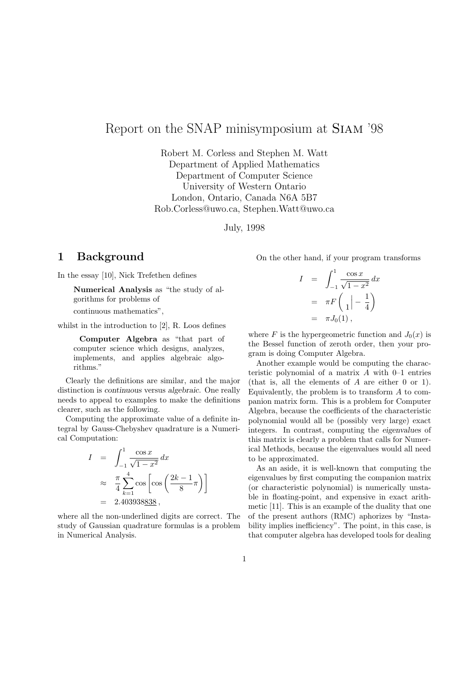# Report on the SNAP minisymposium at Siam '98

Robert M. Corless and Stephen M. Watt Department of Applied Mathematics Department of Computer Science University of Western Ontario London, Ontario, Canada N6A 5B7 Rob.Corless@uwo.ca, Stephen.Watt@uwo.ca

July, 1998

### 1 Background

In the essay [10], Nick Trefethen defines

Numerical Analysis as "the study of algorithms for problems of continuous mathematics",

whilst in the introduction to [2], R. Loos defines

Computer Algebra as "that part of computer science which designs, analyzes, implements, and applies algebraic algorithms."

Clearly the definitions are similar, and the major distinction is continuous versus algebraic. One really needs to appeal to examples to make the definitions clearer, such as the following.

Computing the approximate value of a definite integral by Gauss-Chebyshev quadrature is a Numerical Computation:

$$
I = \int_{-1}^{1} \frac{\cos x}{\sqrt{1 - x^2}} dx
$$
  
\n
$$
\approx \frac{\pi}{4} \sum_{k=1}^{4} \cos \left[ \cos \left( \frac{2k - 1}{8} \pi \right) \right]
$$
  
\n= 2.403938838,

where all the non-underlined digits are correct. The study of Gaussian quadrature formulas is a problem in Numerical Analysis.

On the other hand, if your program transforms

$$
I = \int_{-1}^{1} \frac{\cos x}{\sqrt{1 - x^2}} dx
$$
  
=  $\pi F \begin{pmatrix} 1 \\ 1 \end{pmatrix} - \frac{1}{4}$   
=  $\pi J_0(1)$ ,

where F is the hypergeometric function and  $J_0(x)$  is the Bessel function of zeroth order, then your program is doing Computer Algebra.

Another example would be computing the characteristic polynomial of a matrix  $A$  with  $0-1$  entries (that is, all the elements of A are either 0 or 1). Equivalently, the problem is to transform A to companion matrix form. This is a problem for Computer Algebra, because the coefficients of the characteristic polynomial would all be (possibly very large) exact integers. In contrast, computing the eigenvalues of this matrix is clearly a problem that calls for Numerical Methods, because the eigenvalues would all need to be approximated.

As an aside, it is well-known that computing the eigenvalues by first computing the companion matrix (or characteristic polynomial) is numerically unstable in floating-point, and expensive in exact arithmetic [11]. This is an example of the duality that one of the present authors (RMC) aphorizes by "Instability implies inefficiency". The point, in this case, is that computer algebra has developed tools for dealing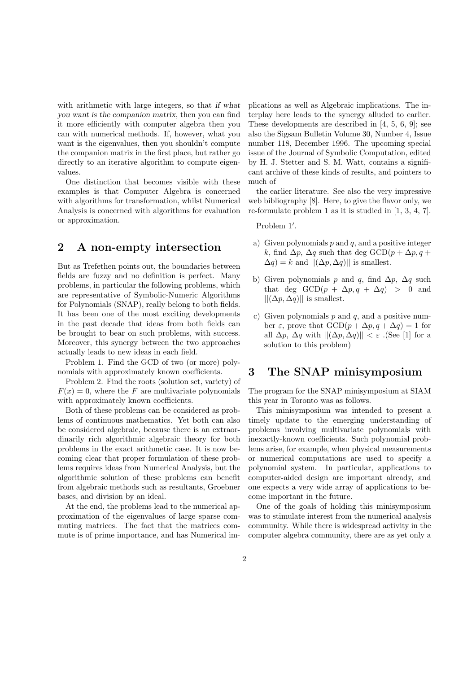with arithmetic with large integers, so that if what you want is the companion matrix, then you can find it more efficiently with computer algebra then you can with numerical methods. If, however, what you want is the eigenvalues, then you shouldn't compute the companion matrix in the first place, but rather go directly to an iterative algorithm to compute eigenvalues.

One distinction that becomes visible with these examples is that Computer Algebra is concerned with algorithms for transformation, whilst Numerical Analysis is concerned with algorithms for evaluation or approximation.

### 2 A non-empty intersection

But as Trefethen points out, the boundaries between fields are fuzzy and no definition is perfect. Many problems, in particular the following problems, which are representative of Symbolic-Numeric Algorithms for Polynomials (SNAP), really belong to both fields. It has been one of the most exciting developments in the past decade that ideas from both fields can be brought to bear on such problems, with success. Moreover, this synergy between the two approaches actually leads to new ideas in each field.

Problem 1. Find the GCD of two (or more) polynomials with approximately known coefficients.

Problem 2. Find the roots (solution set, variety) of  $F(x) = 0$ , where the F are multivariate polynomials with approximately known coefficients.

Both of these problems can be considered as problems of continuous mathematics. Yet both can also be considered algebraic, because there is an extraordinarily rich algorithmic algebraic theory for both problems in the exact arithmetic case. It is now becoming clear that proper formulation of these problems requires ideas from Numerical Analysis, but the algorithmic solution of these problems can benefit from algebraic methods such as resultants, Groebner bases, and division by an ideal.

At the end, the problems lead to the numerical approximation of the eigenvalues of large sparse commuting matrices. The fact that the matrices commute is of prime importance, and has Numerical implications as well as Algebraic implications. The interplay here leads to the synergy alluded to earlier. These developments are described in [4, 5, 6, 9]; see also the Sigsam Bulletin Volume 30, Number 4, Issue number 118, December 1996. The upcoming special issue of the Journal of Symbolic Computation, edited by H. J. Stetter and S. M. Watt, contains a significant archive of these kinds of results, and pointers to much of

the earlier literature. See also the very impressive web bibliography [8]. Here, to give the flavor only, we re-formulate problem 1 as it is studied in [1, 3, 4, 7].

Problem 1'.

- a) Given polynomials  $p$  and  $q$ , and a positive integer k, find  $\Delta p$ ,  $\Delta q$  such that deg GCD( $p + \Delta p$ ,  $q +$  $\Delta q$ ) = k and  $||(\Delta p, \Delta q)||$  is smallest.
- b) Given polynomials p and q, find  $\Delta p$ ,  $\Delta q$  such that deg  $GCD(p + \Delta p, q + \Delta q) > 0$  and  $||(\Delta p, \Delta q)||$  is smallest.
- c) Given polynomials  $p$  and  $q$ , and a positive number  $\varepsilon$ , prove that  $GCD(p + \Delta p, q + \Delta q) = 1$  for all  $\Delta p$ ,  $\Delta q$  with  $||(\Delta p, \Delta q)|| < \varepsilon$ . (See [1] for a solution to this problem)

## 3 The SNAP minisymposium

The program for the SNAP minisymposium at SIAM this year in Toronto was as follows.

This minisymposium was intended to present a timely update to the emerging understanding of problems involving multivariate polynomials with inexactly-known coefficients. Such polynomial problems arise, for example, when physical measurements or numerical computations are used to specify a polynomial system. In particular, applications to computer-aided design are important already, and one expects a very wide array of applications to become important in the future.

One of the goals of holding this minisymposium was to stimulate interest from the numerical analysis community. While there is widespread activity in the computer algebra community, there are as yet only a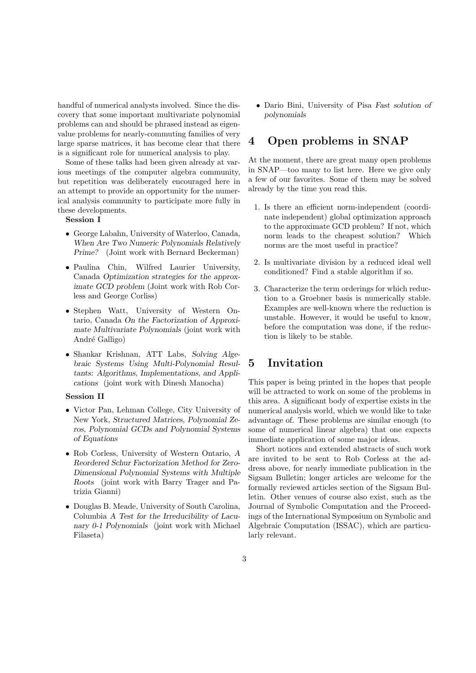handful of numerical analysts involved. Since the discovery that some important multivariate polynomial problems can and should be phrased instead as eigenvalue problems for nearly-commuting families of very large sparse matrices, it has become clear that there is a significant role for numerical analysis to play.

Some of these talks had been given already at various meetings of the computer algebra community, but repetition was deliberately encouraged here in an attempt to provide an opportunity for the numerical analysis community to participate more fully in these developments.

#### Session I

- George Labahn, University of Waterloo, Canada, When Are Two Numeric Polynomials Relatively Prime? (Joint work with Bernard Beckerman)
- Paulina Chin, Wilfred Laurier University, Canada Optimization strategies for the approximate GCD problem (Joint work with Rob Corless and George Corliss)
- Stephen Watt, University of Western Ontario, Canada On the Factorization of Approximate Multivariate Polynomials (joint work with André Galligo)
- Shankar Krishnan, ATT Labs, Solving Algebraic Systems Using Multi-Polynomial Resultants: Algorithms, Implementations, and Applications (joint work with Dinesh Manocha)

#### Session II

- Victor Pan, Lehman College, City University of New York, Structured Matrices, Polynomial Zeros, Polynomial GCDs and Polynomial Systems of Equations
- Rob Corless, University of Western Ontario, A Reordered Schur Factorization Method for Zero-Dimensional Polynomial Systems with Multiple Roots (joint work with Barry Trager and Patrizia Gianni)
- Douglas B. Meade, University of South Carolina, Columbia A Test for the Irreducibility of Lacunary 0-1 Polynomials (joint work with Michael Filaseta)

• Dario Bini, University of Pisa Fast solution of polynomials

## 4 Open problems in SNAP

At the moment, there are great many open problems in SNAP—too many to list here. Here we give only a few of our favorites. Some of them may be solved already by the time you read this.

- 1. Is there an efficient norm-independent (coordinate independent) global optimization approach to the approximate GCD problem? If not, which norm leads to the cheapest solution? Which norms are the most useful in practice?
- 2. Is multivariate division by a reduced ideal well conditioned? Find a stable algorithm if so.
- 3. Characterize the term orderings for which reduction to a Groebner basis is numerically stable. Examples are well-known where the reduction is unstable. However, it would be useful to know, before the computation was done, if the reduction is likely to be stable.

### 5 Invitation

This paper is being printed in the hopes that people will be attracted to work on some of the problems in this area. A significant body of expertise exists in the numerical analysis world, which we would like to take advantage of. These problems are similar enough (to some of numerical linear algebra) that one expects immediate application of some major ideas.

Short notices and extended abstracts of such work are invited to be sent to Rob Corless at the address above, for nearly immediate publication in the Sigsam Bulletin; longer articles are welcome for the formally reviewed articles section of the Sigsam Bulletin. Other venues of course also exist, such as the Journal of Symbolic Computation and the Proceedings of the International Symposium on Symbolic and Algebraic Computation (ISSAC), which are particularly relevant.